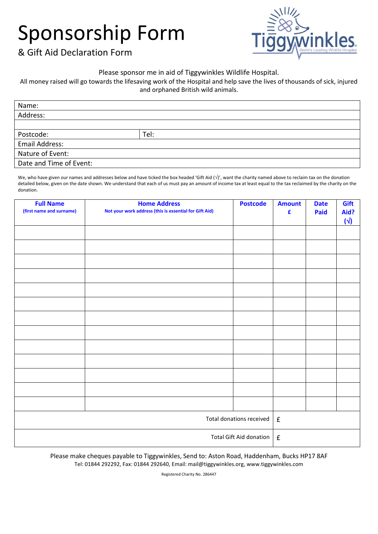## Sponsorship Form



& Gift Aid Declaration Form

## Please sponsor me in aid of Tiggywinkles Wildlife Hospital.

All money raised will go towards the lifesaving work of the Hospital and help save the lives of thousands of sick, injured and orphaned British wild animals.

| Name:                   |      |
|-------------------------|------|
| Address:                |      |
|                         |      |
| Postcode:               | Tel: |
| Email Address:          |      |
| Nature of Event:        |      |
| Date and Time of Event: |      |

We, who have given our names and addresses below and have ticked the box headed 'Gift Aid ( $\sqrt{y}$ , want the charity named above to reclaim tax on the donation detailed below, given on the date shown. We understand that each of us must pay an amount of income tax at least equal to the tax reclaimed by the charity on the donation.

| <b>Full Name</b><br>(first name and surname) | <b>Home Address</b><br>Not your work address (this is essential for Gift Aid) | <b>Postcode</b>    | <b>Amount</b><br>£ | <b>Date</b><br>Paid | Gift<br>Aid?<br>$(\sqrt{2})$ |
|----------------------------------------------|-------------------------------------------------------------------------------|--------------------|--------------------|---------------------|------------------------------|
|                                              |                                                                               |                    |                    |                     |                              |
|                                              |                                                                               |                    |                    |                     |                              |
|                                              |                                                                               |                    |                    |                     |                              |
|                                              |                                                                               |                    |                    |                     |                              |
|                                              |                                                                               |                    |                    |                     |                              |
|                                              |                                                                               |                    |                    |                     |                              |
|                                              |                                                                               |                    |                    |                     |                              |
|                                              |                                                                               |                    |                    |                     |                              |
|                                              |                                                                               |                    |                    |                     |                              |
|                                              |                                                                               |                    |                    |                     |                              |
|                                              |                                                                               |                    |                    |                     |                              |
|                                              |                                                                               |                    |                    |                     |                              |
|                                              |                                                                               |                    |                    |                     |                              |
| Total donations received                     |                                                                               | $\mathbf f$        |                    |                     |                              |
| Total Gift Aid donation                      |                                                                               | $\pmb{\mathsf{f}}$ |                    |                     |                              |

Please make cheques payable to Tiggywinkles, Send to: Aston Road, Haddenham, Bucks HP17 8AF Tel: 01844 292292, Fax: 01844 292640, Email: mail@tiggywinkles.org, www.tiggywinkles.com

Registered Charity No. 286447